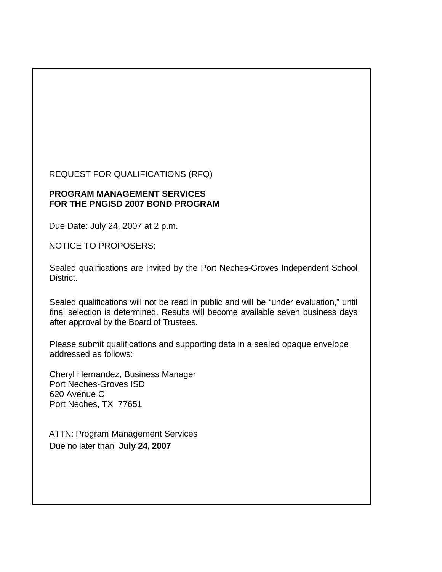REQUEST FOR QUALIFICATIONS (RFQ)

#### **PROGRAM MANAGEMENT SERVICES FOR THE PNGISD 2007 BOND PROGRAM**

Due Date: July 24, 2007 at 2 p.m.

NOTICE TO PROPOSERS:

Sealed qualifications are invited by the Port Neches-Groves Independent School District.

Sealed qualifications will not be read in public and will be "under evaluation," until final selection is determined. Results will become available seven business days after approval by the Board of Trustees.

Please submit qualifications and supporting data in a sealed opaque envelope addressed as follows:

Cheryl Hernandez, Business Manager Port Neches-Groves ISD 620 Avenue C Port Neches, TX 77651

ATTN: Program Management Services Due no later than **July 24, 2007**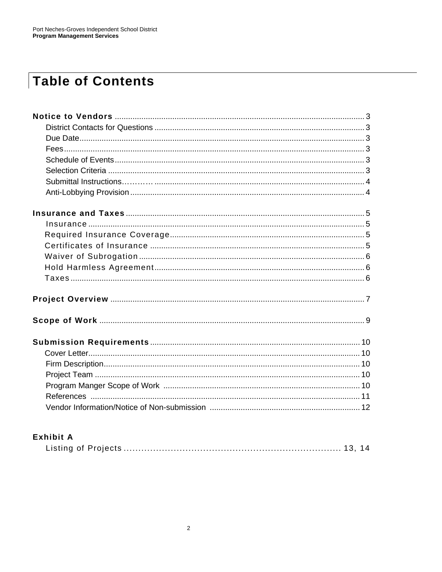# **Table of Contents**

### **Exhibit A**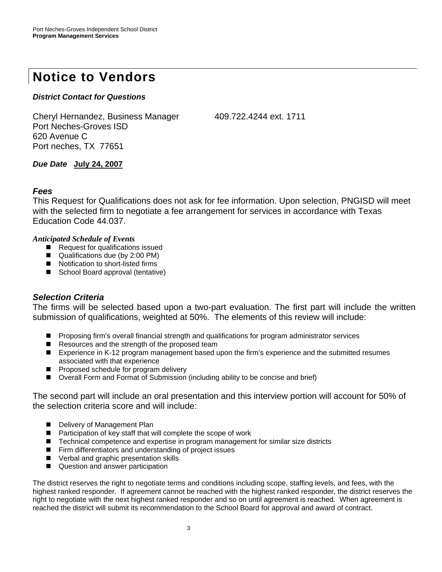## **Notice to Vendors**

#### *District Contact for Questions*

Cheryl Hernandez, Business Manager 409.722.4244 ext. 1711 Port Neches-Groves ISD 620 Avenue C Port neches, TX 77651

*Due Date* **July 24, 2007**

#### *Fees*

This Request for Qualifications does not ask for fee information. Upon selection, PNGISD will meet with the selected firm to negotiate a fee arrangement for services in accordance with Texas Education Code 44.037.

#### *Anticipated Schedule of Events*

- Request for qualifications issued
- Qualifications due (by 2:00 PM)
- Notification to short-listed firms
- School Board approval (tentative)

#### *Selection Criteria*

The firms will be selected based upon a two-part evaluation. The first part will include the written submission of qualifications, weighted at 50%. The elements of this review will include:

- **Proposing firm's overall financial strength and qualifications for program administrator services**
- Resources and the strength of the proposed team
- Experience in K-12 program management based upon the firm's experience and the submitted resumes associated with that experience
- **Proposed schedule for program delivery**
- Overall Form and Format of Submission (including ability to be concise and brief)

The second part will include an oral presentation and this interview portion will account for 50% of the selection criteria score and will include:

- Delivery of Management Plan
- Participation of key staff that will complete the scope of work
- Technical competence and expertise in program management for similar size districts
- Firm differentiators and understanding of project issues
- **U** Verbal and graphic presentation skills
- Question and answer participation

The district reserves the right to negotiate terms and conditions including scope, staffing levels, and fees, with the highest ranked responder. If agreement cannot be reached with the highest ranked responder, the district reserves the right to negotiate with the next highest ranked responder and so on until agreement is reached. When agreement is reached the district will submit its recommendation to the School Board for approval and award of contract.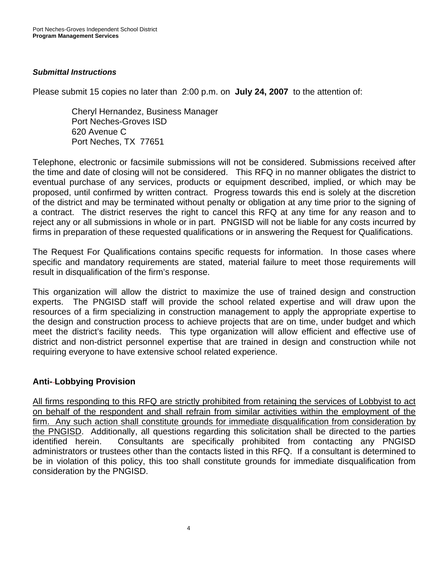#### *Submittal Instructions*

Please submit 15 copies no later than 2:00 p.m. on **July 24, 2007** to the attention of:

Cheryl Hernandez, Business Manager Port Neches-Groves ISD 620 Avenue C Port Neches, TX 77651

Telephone, electronic or facsimile submissions will not be considered. Submissions received after the time and date of closing will not be considered. This RFQ in no manner obligates the district to eventual purchase of any services, products or equipment described, implied, or which may be proposed, until confirmed by written contract. Progress towards this end is solely at the discretion of the district and may be terminated without penalty or obligation at any time prior to the signing of a contract. The district reserves the right to cancel this RFQ at any time for any reason and to reject any or all submissions in whole or in part. PNGISD will not be liable for any costs incurred by firms in preparation of these requested qualifications or in answering the Request for Qualifications.

The Request For Qualifications contains specific requests for information. In those cases where specific and mandatory requirements are stated, material failure to meet those requirements will result in disqualification of the firm's response.

This organization will allow the district to maximize the use of trained design and construction experts. The PNGISD staff will provide the school related expertise and will draw upon the resources of a firm specializing in construction management to apply the appropriate expertise to the design and construction process to achieve projects that are on time, under budget and which meet the district's facility needs. This type organization will allow efficient and effective use of district and non-district personnel expertise that are trained in design and construction while not requiring everyone to have extensive school related experience.

#### **Anti- Lobbying Provision**

All firms responding to this RFQ are strictly prohibited from retaining the services of Lobbyist to act on behalf of the respondent and shall refrain from similar activities within the employment of the firm. Any such action shall constitute grounds for immediate disqualification from consideration by the PNGISD. Additionally, all questions regarding this solicitation shall be directed to the parties identified herein. Consultants are specifically prohibited from contacting any PNGISD administrators or trustees other than the contacts listed in this RFQ. If a consultant is determined to be in violation of this policy, this too shall constitute grounds for immediate disqualification from consideration by the PNGISD.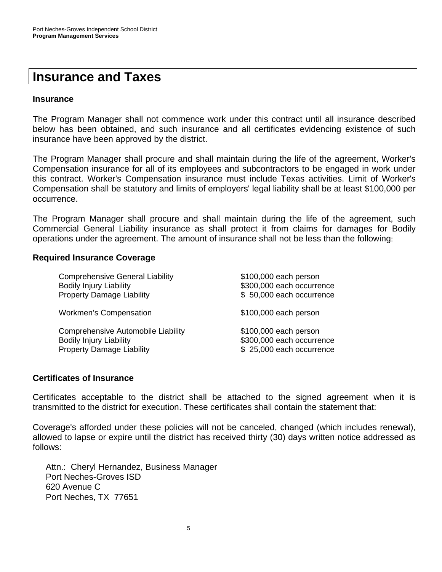### **Insurance and Taxes**

#### **Insurance**

The Program Manager shall not commence work under this contract until all insurance described below has been obtained, and such insurance and all certificates evidencing existence of such insurance have been approved by the district.

The Program Manager shall procure and shall maintain during the life of the agreement, Worker's Compensation insurance for all of its employees and subcontractors to be engaged in work under this contract. Worker's Compensation insurance must include Texas activities. Limit of Worker's Compensation shall be statutory and limits of employers' legal liability shall be at least \$100,000 per occurrence.

The Program Manager shall procure and shall maintain during the life of the agreement, such Commercial General Liability insurance as shall protect it from claims for damages for Bodily operations under the agreement. The amount of insurance shall not be less than the following:

#### **Required Insurance Coverage**

| <b>Comprehensive General Liability</b><br><b>Bodily Injury Liability</b><br><b>Property Damage Liability</b> | \$100,000 each person<br>\$300,000 each occurrence<br>\$50,000 each occurrence |
|--------------------------------------------------------------------------------------------------------------|--------------------------------------------------------------------------------|
| <b>Workmen's Compensation</b>                                                                                | \$100,000 each person                                                          |
| Comprehensive Automobile Liability<br><b>Bodily Injury Liability</b><br><b>Property Damage Liability</b>     | \$100,000 each person<br>\$300,000 each occurrence<br>\$25,000 each occurrence |

#### **Certificates of Insurance**

Certificates acceptable to the district shall be attached to the signed agreement when it is transmitted to the district for execution. These certificates shall contain the statement that:

Coverage's afforded under these policies will not be canceled, changed (which includes renewal), allowed to lapse or expire until the district has received thirty (30) days written notice addressed as follows:

Attn.: Cheryl Hernandez, Business Manager Port Neches-Groves ISD 620 Avenue C Port Neches, TX 77651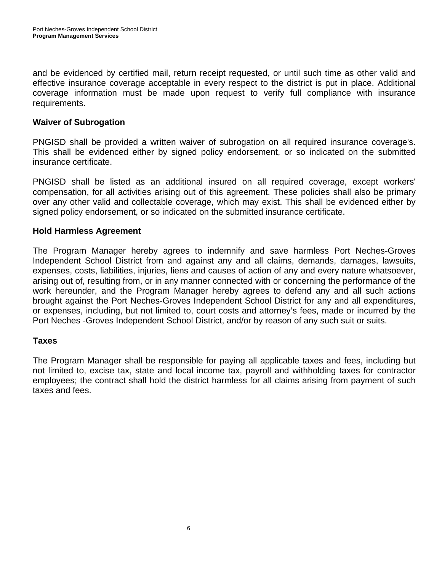and be evidenced by certified mail, return receipt requested, or until such time as other valid and effective insurance coverage acceptable in every respect to the district is put in place. Additional coverage information must be made upon request to verify full compliance with insurance requirements.

#### **Waiver of Subrogation**

PNGISD shall be provided a written waiver of subrogation on all required insurance coverage's. This shall be evidenced either by signed policy endorsement, or so indicated on the submitted insurance certificate.

PNGISD shall be listed as an additional insured on all required coverage, except workers' compensation, for all activities arising out of this agreement. These policies shall also be primary over any other valid and collectable coverage, which may exist. This shall be evidenced either by signed policy endorsement, or so indicated on the submitted insurance certificate.

#### **Hold Harmless Agreement**

The Program Manager hereby agrees to indemnify and save harmless Port Neches-Groves Independent School District from and against any and all claims, demands, damages, lawsuits, expenses, costs, liabilities, injuries, liens and causes of action of any and every nature whatsoever, arising out of, resulting from, or in any manner connected with or concerning the performance of the work hereunder, and the Program Manager hereby agrees to defend any and all such actions brought against the Port Neches-Groves Independent School District for any and all expenditures, or expenses, including, but not limited to, court costs and attorney's fees, made or incurred by the Port Neches -Groves Independent School District, and/or by reason of any such suit or suits.

#### **Taxes**

The Program Manager shall be responsible for paying all applicable taxes and fees, including but not limited to, excise tax, state and local income tax, payroll and withholding taxes for contractor employees; the contract shall hold the district harmless for all claims arising from payment of such taxes and fees.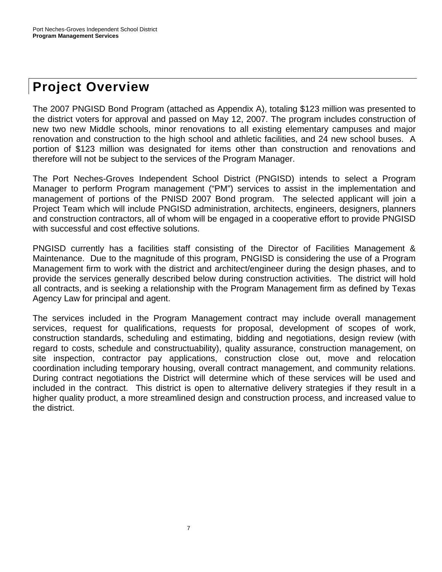# **Project Overview**

7

The 2007 PNGISD Bond Program (attached as Appendix A), totaling \$123 million was presented to the district voters for approval and passed on May 12, 2007. The program includes construction of new two new Middle schools, minor renovations to all existing elementary campuses and major renovation and construction to the high school and athletic facilities, and 24 new school buses. A portion of \$123 million was designated for items other than construction and renovations and therefore will not be subject to the services of the Program Manager.

The Port Neches-Groves Independent School District (PNGISD) intends to select a Program Manager to perform Program management ("PM") services to assist in the implementation and management of portions of the PNISD 2007 Bond program. The selected applicant will join a Project Team which will include PNGISD administration, architects, engineers, designers, planners and construction contractors, all of whom will be engaged in a cooperative effort to provide PNGISD with successful and cost effective solutions.

PNGISD currently has a facilities staff consisting of the Director of Facilities Management & Maintenance. Due to the magnitude of this program, PNGISD is considering the use of a Program Management firm to work with the district and architect/engineer during the design phases, and to provide the services generally described below during construction activities. The district will hold all contracts, and is seeking a relationship with the Program Management firm as defined by Texas Agency Law for principal and agent.

The services included in the Program Management contract may include overall management services, request for qualifications, requests for proposal, development of scopes of work, construction standards, scheduling and estimating, bidding and negotiations, design review (with regard to costs, schedule and constructuability), quality assurance, construction management, on site inspection, contractor pay applications, construction close out, move and relocation coordination including temporary housing, overall contract management, and community relations. During contract negotiations the District will determine which of these services will be used and included in the contract. This district is open to alternative delivery strategies if they result in a higher quality product, a more streamlined design and construction process, and increased value to the district.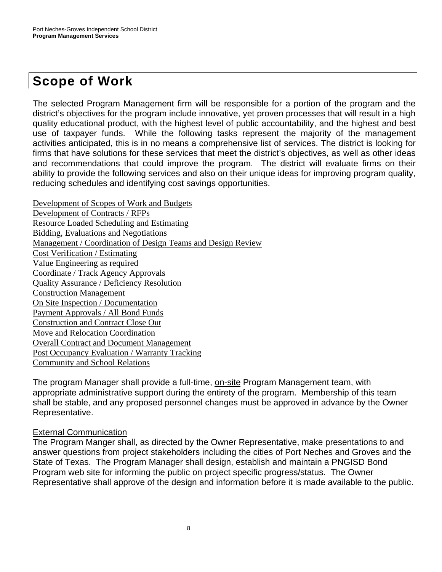# **Scope of Work**

The selected Program Management firm will be responsible for a portion of the program and the district's objectives for the program include innovative, yet proven processes that will result in a high quality educational product, with the highest level of public accountability, and the highest and best use of taxpayer funds. While the following tasks represent the majority of the management activities anticipated, this is in no means a comprehensive list of services. The district is looking for firms that have solutions for these services that meet the district's objectives, as well as other ideas and recommendations that could improve the program. The district will evaluate firms on their ability to provide the following services and also on their unique ideas for improving program quality, reducing schedules and identifying cost savings opportunities.

Development of Scopes of Work and Budgets Development of Contracts / RFPs Resource Loaded Scheduling and Estimating Bidding, Evaluations and Negotiations Management / Coordination of Design Teams and Design Review Cost Verification / Estimating Value Engineering as required Coordinate / Track Agency Approvals Quality Assurance / Deficiency Resolution Construction Management On Site Inspection / Documentation Payment Approvals / All Bond Funds Construction and Contract Close Out Move and Relocation Coordination Overall Contract and Document Management Post Occupancy Evaluation / Warranty Tracking Community and School Relations

The program Manager shall provide a full-time, on-site Program Management team, with appropriate administrative support during the entirety of the program. Membership of this team shall be stable, and any proposed personnel changes must be approved in advance by the Owner Representative.

#### External Communication

The Program Manger shall, as directed by the Owner Representative, make presentations to and answer questions from project stakeholders including the cities of Port Neches and Groves and the State of Texas. The Program Manager shall design, establish and maintain a PNGISD Bond Program web site for informing the public on project specific progress/status. The Owner Representative shall approve of the design and information before it is made available to the public.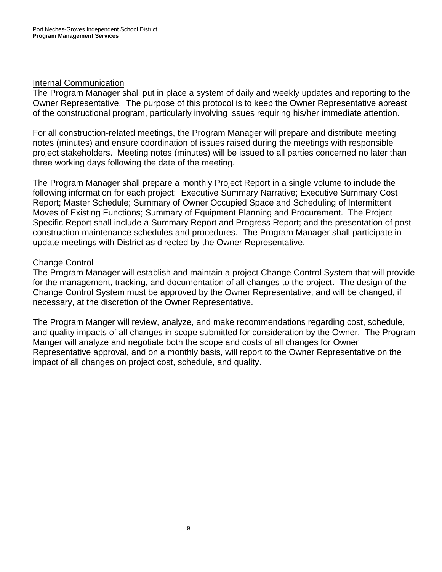#### Internal Communication

The Program Manager shall put in place a system of daily and weekly updates and reporting to the Owner Representative. The purpose of this protocol is to keep the Owner Representative abreast of the constructional program, particularly involving issues requiring his/her immediate attention.

For all construction-related meetings, the Program Manager will prepare and distribute meeting notes (minutes) and ensure coordination of issues raised during the meetings with responsible project stakeholders. Meeting notes (minutes) will be issued to all parties concerned no later than three working days following the date of the meeting.

The Program Manager shall prepare a monthly Project Report in a single volume to include the following information for each project: Executive Summary Narrative; Executive Summary Cost Report; Master Schedule; Summary of Owner Occupied Space and Scheduling of Intermittent Moves of Existing Functions; Summary of Equipment Planning and Procurement. The Project Specific Report shall include a Summary Report and Progress Report; and the presentation of postconstruction maintenance schedules and procedures. The Program Manager shall participate in update meetings with District as directed by the Owner Representative.

#### Change Control

The Program Manager will establish and maintain a project Change Control System that will provide for the management, tracking, and documentation of all changes to the project. The design of the Change Control System must be approved by the Owner Representative, and will be changed, if necessary, at the discretion of the Owner Representative.

The Program Manger will review, analyze, and make recommendations regarding cost, schedule, and quality impacts of all changes in scope submitted for consideration by the Owner. The Program Manger will analyze and negotiate both the scope and costs of all changes for Owner Representative approval, and on a monthly basis, will report to the Owner Representative on the impact of all changes on project cost, schedule, and quality.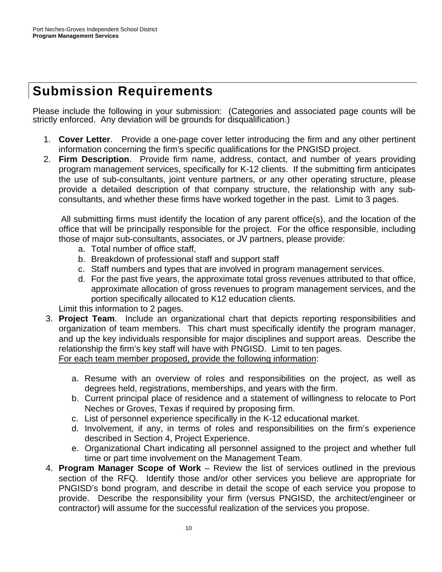# **Submission Requirements**

Please include the following in your submission: (Categories and associated page counts will be strictly enforced. Any deviation will be grounds for disqualification.)

- 1. **Cover Letter**. Provide a one-page cover letter introducing the firm and any other pertinent information concerning the firm's specific qualifications for the PNGISD project.
- 2. **Firm Description**. Provide firm name, address, contact, and number of years providing program management services, specifically for K-12 clients. If the submitting firm anticipates the use of sub-consultants, joint venture partners, or any other operating structure, please provide a detailed description of that company structure, the relationship with any subconsultants, and whether these firms have worked together in the past. Limit to 3 pages.

 All submitting firms must identify the location of any parent office(s), and the location of the office that will be principally responsible for the project. For the office responsible, including those of major sub-consultants, associates, or JV partners, please provide:

- a. Total number of office staff,
- b. Breakdown of professional staff and support staff
- c. Staff numbers and types that are involved in program management services.
- d. For the past five years, the approximate total gross revenues attributed to that office, approximate allocation of gross revenues to program management services, and the portion specifically allocated to K12 education clients.

Limit this information to 2 pages.

- 3. **Project Team**. Include an organizational chart that depicts reporting responsibilities and organization of team members. This chart must specifically identify the program manager, and up the key individuals responsible for major disciplines and support areas. Describe the relationship the firm's key staff will have with PNGISD. Limit to ten pages. For each team member proposed, provide the following information:
	- a. Resume with an overview of roles and responsibilities on the project, as well as degrees held, registrations, memberships, and years with the firm.
	- b. Current principal place of residence and a statement of willingness to relocate to Port Neches or Groves, Texas if required by proposing firm.
	- c. List of personnel experience specifically in the K-12 educational market.
	- d. Involvement, if any, in terms of roles and responsibilities on the firm's experience described in Section 4, Project Experience.
	- e. Organizational Chart indicating all personnel assigned to the project and whether full time or part time involvement on the Management Team.
- 4. **Program Manager Scope of Work** Review the list of services outlined in the previous section of the RFQ. Identify those and/or other services you believe are appropriate for PNGISD's bond program, and describe in detail the scope of each service you propose to provide. Describe the responsibility your firm (versus PNGISD, the architect/engineer or contractor) will assume for the successful realization of the services you propose.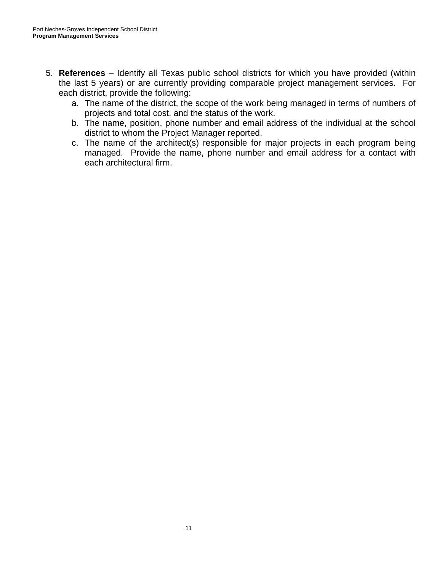- 5. **References** Identify all Texas public school districts for which you have provided (within the last 5 years) or are currently providing comparable project management services. For each district, provide the following:
	- a. The name of the district, the scope of the work being managed in terms of numbers of projects and total cost, and the status of the work.
	- b. The name, position, phone number and email address of the individual at the school district to whom the Project Manager reported.
	- c. The name of the architect(s) responsible for major projects in each program being managed. Provide the name, phone number and email address for a contact with each architectural firm.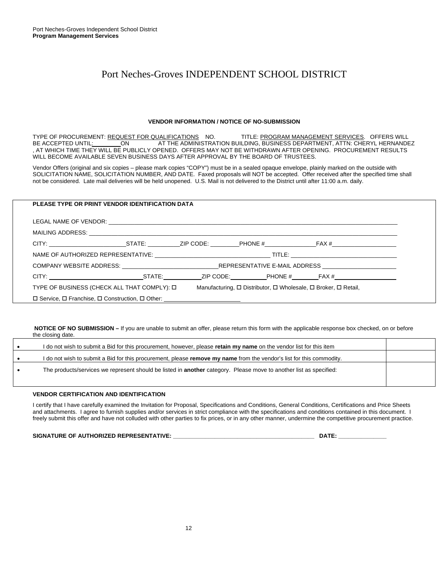#### Port Neches-Groves INDEPENDENT SCHOOL DISTRICT

#### **VENDOR INFORMATION / NOTICE OF NO-SUBMISSION**

TYPE OF PROCUREMENT: REQUEST FOR QUALIFICATIONS NO. TITLE: PROGRAM MANAGEMENT SERVICES. OFFERS WILL BE ACCEPTED UNTIL: ON AT THE ADMINISTRATION BUILDING, BUSINESS DEPARTMENT, ATTN: CHERYL HERNANDEZ , AT WHICH TIME THEY WILL BE PUBLICLY OPENED. OFFERS MAY NOT BE WITHDRAWN AFTER OPENING. PROCUREMENT RESULTS WILL BECOME AVAILABLE SEVEN BUSINESS DAYS AFTER APPROVAL BY THE BOARD OF TRUSTEES.

Vendor Offers (original and six copies – please mark copies "COPY") must be in a sealed opaque envelope, plainly marked on the outside with SOLICITATION NAME, SOLICITATION NUMBER, AND DATE. Faxed proposals will NOT be accepted. Offer received after the specified time shall not be considered. Late mail deliveries will be held unopened. U.S. Mail is not delivered to the District until after 11:00 a.m. daily.

### **PLEASE TYPE OR PRINT VENDOR IDENTIFICATION DATA**  LEGAL NAME OF VENDOR: \_\_\_\_\_\_\_\_\_\_\_\_\_\_\_\_\_\_\_\_\_\_\_\_\_\_\_\_\_\_\_\_\_\_\_\_\_\_\_\_\_\_\_\_\_\_\_\_\_\_\_\_\_\_\_\_\_\_\_\_\_\_\_\_\_\_\_\_\_\_\_\_\_\_\_\_\_\_\_\_\_\_\_\_\_\_\_\_\_\_ MAILING ADDRESS: CITY: \_\_\_\_\_\_\_\_\_\_\_\_\_\_\_\_\_\_\_\_\_\_\_\_STATE: \_\_\_\_\_\_\_\_\_\_ZIP CODE: \_\_\_\_\_\_\_\_\_PHONE #\_\_\_\_\_\_\_\_\_\_\_\_\_\_\_\_FAX #\_\_\_\_\_\_\_\_\_\_\_\_\_\_\_\_\_\_\_\_ NAME OF AUTHORIZED REPRESENTATIVE: \_\_\_\_\_\_\_\_\_\_\_\_\_\_\_\_\_\_\_\_\_\_\_\_\_\_\_\_\_\_\_\_\_\_\_\_ TITLE: \_\_\_\_\_\_\_\_\_\_\_\_\_\_\_\_\_\_\_\_\_\_\_\_\_\_\_\_\_\_\_\_\_ COMPANY WEBSITE ADDRESS: \_\_\_\_\_\_\_\_\_\_\_\_\_\_\_\_\_\_\_\_\_\_\_\_\_\_\_\_\_\_REPRESENTATIVE E-MAIL ADDRESS \_\_\_\_\_\_\_\_\_\_\_\_\_\_\_\_\_\_\_\_\_\_\_ CITY: STATE: ZIP CODE: PHONE # FAX # TYPE OF BUSINESS (CHECK ALL THAT COMPLY):  $\square$  Manufacturing,  $\square$  Distributor,  $\square$  Wholesale,  $\square$  Broker,  $\square$  Retail, □ Service, □ Franchise, □ Construction, □ Other: \_\_\_\_\_\_\_\_\_

 **NOTICE OF NO SUBMISSION –** If you are unable to submit an offer, please return this form with the applicable response box checked, on or before the closing date.

| I do not wish to submit a Bid for this procurement, however, please retain my name on the vendor list for this item         |  |
|-----------------------------------------------------------------------------------------------------------------------------|--|
| I do not wish to submit a Bid for this procurement, please <b>remove my name</b> from the vendor's list for this commodity. |  |
| The products/services we represent should be listed in <b>another</b> category. Please move to another list as specified:   |  |
|                                                                                                                             |  |

#### **VENDOR CERTIFICATION AND IDENTIFICATION**

I certify that I have carefully examined the Invitation for Proposal, Specifications and Conditions, General Conditions, Certifications and Price Sheets and attachments. I agree to furnish supplies and/or services in strict compliance with the specifications and conditions contained in this document. I freely submit this offer and have not colluded with other parties to fix prices, or in any other manner, undermine the competitive procurement practice.

**SIGNATURE OF AUTHORIZED REPRESENTATIVE: \_\_\_\_\_\_\_\_\_\_\_\_\_\_\_\_\_\_\_\_\_\_\_\_\_\_\_\_\_\_\_\_\_\_\_\_\_\_\_\_\_\_\_\_ DATE: \_\_\_\_\_\_\_\_\_\_\_\_\_\_\_**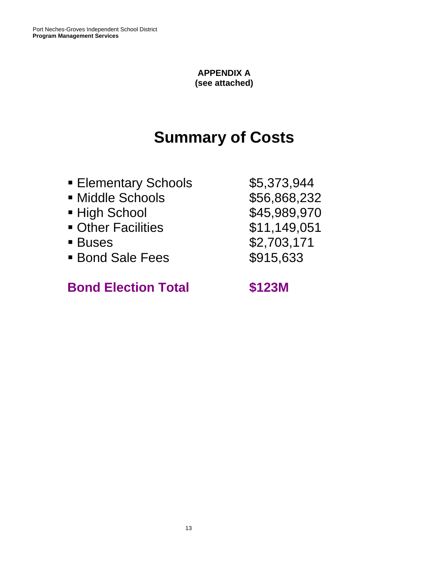#### **APPENDIX A (see attached)**

# **Summary of Costs**

- **Elementary Schools** \$5,373,944
- Middle Schools **\$56,868,232**
- High School **\$45,989,970**
- Other Facilities **\$11,149,051**
- 
- Bond Sale Fees \$915,633

## **Bond Election Total \$123M**

■ Buses \$2,703,171